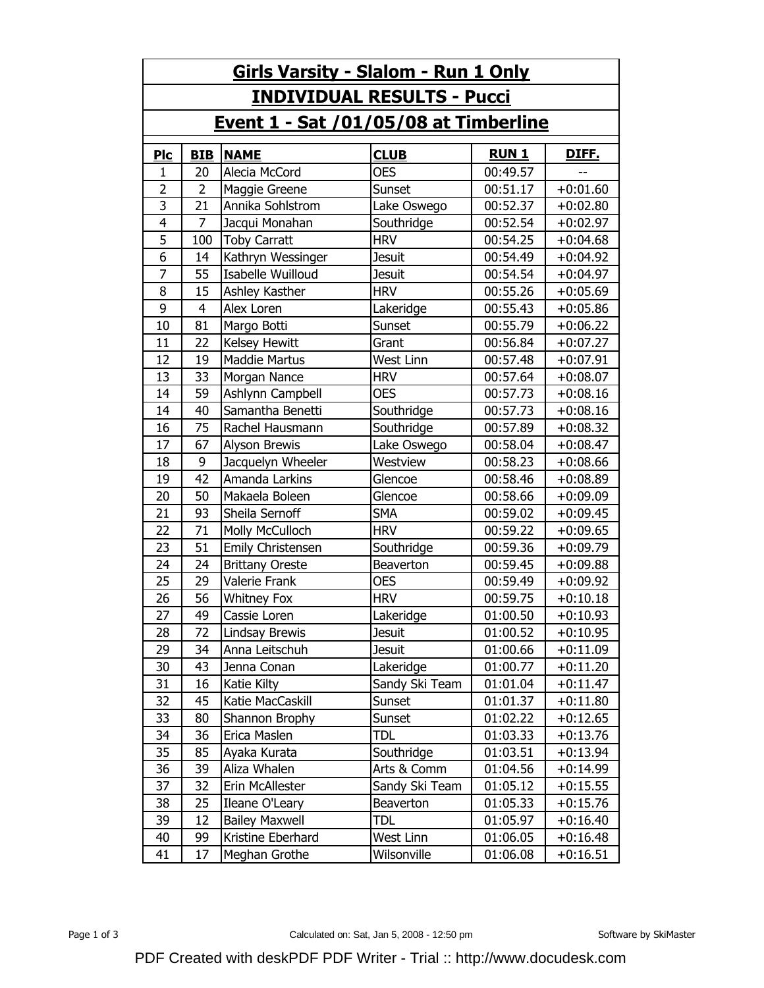| Girls Varsity - Slalom - Run 1 Only   |                |                        |                  |              |              |  |  |  |
|---------------------------------------|----------------|------------------------|------------------|--------------|--------------|--|--|--|
| <b>INDIVIDUAL RESULTS - Pucci</b>     |                |                        |                  |              |              |  |  |  |
| Event 1 - Sat /01/05/08 at Timberline |                |                        |                  |              |              |  |  |  |
| <b>Plc</b>                            | <b>BIB</b>     | <b>NAME</b>            | <b>CLUB</b>      | <b>RUN 1</b> | <u>DIFF.</u> |  |  |  |
| 1                                     | 20             | Alecia McCord          | <b>OES</b>       | 00:49.57     |              |  |  |  |
| $\overline{2}$                        | $\overline{2}$ | Maggie Greene          | Sunset           | 00:51.17     | $+0:01.60$   |  |  |  |
| 3                                     | 21             | Annika Sohlstrom       | Lake Oswego      | 00:52.37     | $+0:02.80$   |  |  |  |
| 4                                     | 7              | Jacqui Monahan         | Southridge       | 00:52.54     | $+0:02.97$   |  |  |  |
| 5                                     | 100            | <b>Toby Carratt</b>    | <b>HRV</b>       | 00:54.25     | $+0:04.68$   |  |  |  |
| 6                                     | 14             | Kathryn Wessinger      | <b>Jesuit</b>    | 00:54.49     | $+0:04.92$   |  |  |  |
| 7                                     | 55             | Isabelle Wuilloud      | <b>Jesuit</b>    | 00:54.54     | $+0:04.97$   |  |  |  |
| 8                                     | 15             | Ashley Kasther         | <b>HRV</b>       | 00:55.26     | $+0:05.69$   |  |  |  |
| 9                                     | $\overline{4}$ | Alex Loren             | Lakeridge        | 00:55.43     | $+0:05.86$   |  |  |  |
| 10                                    | 81             | Margo Botti            | Sunset           | 00:55.79     | $+0:06.22$   |  |  |  |
| 11                                    | 22             | Kelsey Hewitt          | Grant            | 00:56.84     | $+0:07.27$   |  |  |  |
| 12                                    | 19             | Maddie Martus          | <b>West Linn</b> | 00:57.48     | $+0:07.91$   |  |  |  |
| 13                                    | 33             | Morgan Nance           | <b>HRV</b>       | 00:57.64     | $+0:08.07$   |  |  |  |
| 14                                    | 59             | Ashlynn Campbell       | <b>OES</b>       | 00:57.73     | $+0:08.16$   |  |  |  |
| 14                                    | 40             | Samantha Benetti       | Southridge       | 00:57.73     | $+0:08.16$   |  |  |  |
| 16                                    | 75             | Rachel Hausmann        | Southridge       | 00:57.89     | $+0:08.32$   |  |  |  |
| 17                                    | 67             | <b>Alyson Brewis</b>   | Lake Oswego      | 00:58.04     | $+0:08.47$   |  |  |  |
| 18                                    | 9              | Jacquelyn Wheeler      | Westview         | 00:58.23     | $+0:08.66$   |  |  |  |
| 19                                    | 42             | Amanda Larkins         | Glencoe          | 00:58.46     | $+0:08.89$   |  |  |  |
| 20                                    | 50             | Makaela Boleen         | Glencoe          | 00:58.66     | $+0.09.09$   |  |  |  |
| 21                                    | 93             | Sheila Sernoff         | <b>SMA</b>       | 00:59.02     | $+0:09.45$   |  |  |  |
| 22                                    | 71             | Molly McCulloch        | <b>HRV</b>       | 00:59.22     | $+0:09.65$   |  |  |  |
| 23                                    | 51             | Emily Christensen      | Southridge       | 00:59.36     | $+0:09.79$   |  |  |  |
| 24                                    | 24             | <b>Brittany Oreste</b> | Beaverton        | 00:59.45     | $+0:09.88$   |  |  |  |
| 25                                    | 29             | Valerie Frank          | <b>OES</b>       | 00:59.49     | $+0:09.92$   |  |  |  |
| 26                                    | 56             | <b>Whitney Fox</b>     | <b>HRV</b>       | 00:59.75     | $+0:10.18$   |  |  |  |
| 27                                    | 49             | Cassie Loren           | Lakeridge        | 01:00.50     | $+0:10.93$   |  |  |  |
| 28                                    | 72             | Lindsay Brewis         | Jesuit           | 01:00.52     | $+0:10.95$   |  |  |  |
| 29                                    | 34             | Anna Leitschuh         | <b>Jesuit</b>    | 01:00.66     | $+0:11.09$   |  |  |  |
| 30                                    | 43             | Jenna Conan            | Lakeridge        | 01:00.77     | $+0:11.20$   |  |  |  |
| 31                                    | 16             | Katie Kilty            | Sandy Ski Team   | 01:01.04     | $+0:11.47$   |  |  |  |
| 32                                    | 45             | Katie MacCaskill       | Sunset           | 01:01.37     | $+0:11.80$   |  |  |  |
| 33                                    | 80             | Shannon Brophy         | Sunset           | 01:02.22     | $+0:12.65$   |  |  |  |
| 34                                    | 36             | Erica Maslen           | tdl              | 01:03.33     | $+0:13.76$   |  |  |  |
| 35                                    | 85             | Ayaka Kurata           | Southridge       | 01:03.51     | $+0:13.94$   |  |  |  |
| 36                                    | 39             | Aliza Whalen           | Arts & Comm      | 01:04.56     | $+0.14.99$   |  |  |  |
| 37                                    | 32             | Erin McAllester        | Sandy Ski Team   | 01:05.12     | $+0:15.55$   |  |  |  |
| 38                                    | 25             | Ileane O'Leary         | Beaverton        | 01:05.33     | $+0:15.76$   |  |  |  |
| 39                                    | 12             | <b>Bailey Maxwell</b>  | tdl              | 01:05.97     | $+0.16.40$   |  |  |  |
| 40                                    | 99             | Kristine Eberhard      | West Linn        | 01:06.05     | $+0:16.48$   |  |  |  |
| 41                                    | 17             | Meghan Grothe          | Wilsonville      | 01:06.08     | $+0:16.51$   |  |  |  |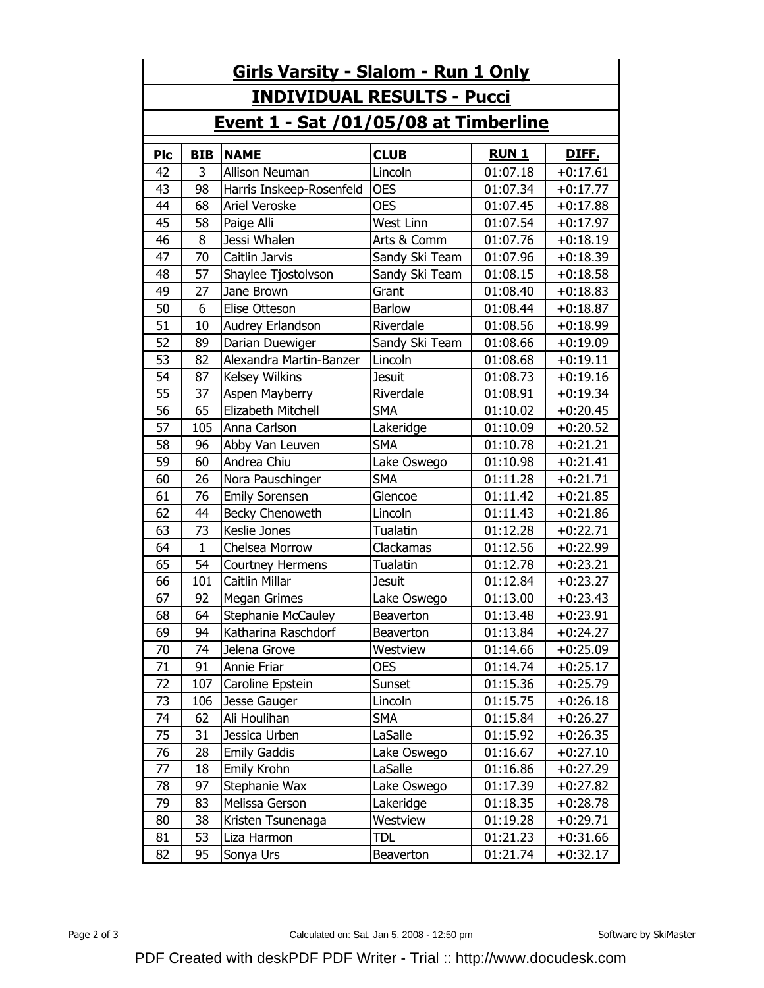| <b>Girls Varsity - Slalom - Run 1 Only</b> |              |                          |                  |              |            |  |  |  |
|--------------------------------------------|--------------|--------------------------|------------------|--------------|------------|--|--|--|
| <b>INDIVIDUAL RESULTS - Pucci</b>          |              |                          |                  |              |            |  |  |  |
| Event 1 - Sat /01/05/08 at Timberline      |              |                          |                  |              |            |  |  |  |
| <b>Plc</b>                                 | <b>BIB</b>   | <b>NAME</b>              | <b>CLUB</b>      | <b>RUN 1</b> | DIFF.      |  |  |  |
| 42                                         | 3            | Allison Neuman           | Lincoln          | 01:07.18     | $+0:17.61$ |  |  |  |
| 43                                         | 98           | Harris Inskeep-Rosenfeld | <b>OES</b>       | 01:07.34     | $+0:17.77$ |  |  |  |
| 44                                         | 68           | Ariel Veroske            | <b>OES</b>       | 01:07.45     | $+0:17.88$ |  |  |  |
| 45                                         | 58           | Paige Alli               | <b>West Linn</b> | 01:07.54     | $+0:17.97$ |  |  |  |
| 46                                         | 8            | Jessi Whalen             | Arts & Comm      | 01:07.76     | $+0:18.19$ |  |  |  |
| 47                                         | 70           | Caitlin Jarvis           | Sandy Ski Team   | 01:07.96     | $+0:18.39$ |  |  |  |
| 48                                         | 57           | Shaylee Tjostolvson      | Sandy Ski Team   | 01:08.15     | $+0:18.58$ |  |  |  |
| 49                                         | 27           | Jane Brown               | Grant            | 01:08.40     | $+0:18.83$ |  |  |  |
| 50                                         | 6            | Elise Otteson            | <b>Barlow</b>    | 01:08.44     | $+0.18.87$ |  |  |  |
| 51                                         | 10           | Audrey Erlandson         | Riverdale        | 01:08.56     | $+0.18.99$ |  |  |  |
| 52                                         | 89           | Darian Duewiger          | Sandy Ski Team   | 01:08.66     | $+0.19.09$ |  |  |  |
| 53                                         | 82           | Alexandra Martin-Banzer  | Lincoln          | 01:08.68     | $+0:19.11$ |  |  |  |
| 54                                         | 87           | <b>Kelsey Wilkins</b>    | <b>Jesuit</b>    | 01:08.73     | $+0:19.16$ |  |  |  |
| 55                                         | 37           | Aspen Mayberry           | Riverdale        | 01:08.91     | $+0:19.34$ |  |  |  |
| 56                                         | 65           | Elizabeth Mitchell       | <b>SMA</b>       | 01:10.02     | $+0:20.45$ |  |  |  |
| 57                                         | 105          | Anna Carlson             | Lakeridge        | 01:10.09     | $+0:20.52$ |  |  |  |
| 58                                         | 96           | Abby Van Leuven          | <b>SMA</b>       | 01:10.78     | $+0:21.21$ |  |  |  |
| 59                                         | 60           | Andrea Chiu              | Lake Oswego      | 01:10.98     | $+0:21.41$ |  |  |  |
| 60                                         | 26           | Nora Pauschinger         | <b>SMA</b>       | 01:11.28     | $+0:21.71$ |  |  |  |
| 61                                         | 76           | <b>Emily Sorensen</b>    | Glencoe          | 01:11.42     | $+0:21.85$ |  |  |  |
| 62                                         | 44           | Becky Chenoweth          | Lincoln          | 01:11.43     | $+0:21.86$ |  |  |  |
| 63                                         | 73           | Keslie Jones             | <b>Tualatin</b>  | 01:12.28     | $+0:22.71$ |  |  |  |
| 64                                         | $\mathbf{1}$ | Chelsea Morrow           | Clackamas        | 01:12.56     | $+0:22.99$ |  |  |  |
| 65                                         | 54           | <b>Courtney Hermens</b>  | <b>Tualatin</b>  | 01:12.78     | $+0:23.21$ |  |  |  |
| 66                                         | 101          | Caitlin Millar           | <b>Jesuit</b>    | 01:12.84     | $+0:23.27$ |  |  |  |
| 67                                         | 92           | <b>Megan Grimes</b>      | Lake Oswego      | 01:13.00     | $+0:23.43$ |  |  |  |
| 68                                         | 64           | Stephanie McCauley       | <b>Beaverton</b> | 01:13.48     | $+0:23.91$ |  |  |  |
| 69                                         | 94           | Katharina Raschdorf      | Beaverton        | 01:13.84     | $+0:24.27$ |  |  |  |
| 70                                         | 74           | Jelena Grove             | Westview         | 01:14.66     | $+0:25.09$ |  |  |  |
| 71                                         | 91           | Annie Friar              | <b>OES</b>       | 01:14.74     | $+0:25.17$ |  |  |  |
| 72                                         | 107          | Caroline Epstein         | Sunset           | 01:15.36     | $+0:25.79$ |  |  |  |
| 73                                         | 106          | Jesse Gauger             | Lincoln          | 01:15.75     | $+0:26.18$ |  |  |  |
| 74                                         | 62           | Ali Houlihan             | <b>SMA</b>       | 01:15.84     | $+0:26.27$ |  |  |  |
| 75                                         | 31           | Jessica Urben            | LaSalle          | 01:15.92     | $+0:26.35$ |  |  |  |
| 76                                         | 28           | <b>Emily Gaddis</b>      | Lake Oswego      | 01:16.67     | $+0:27.10$ |  |  |  |
| 77                                         | 18           | Emily Krohn              | LaSalle          | 01:16.86     | $+0:27.29$ |  |  |  |
| 78                                         | 97           | Stephanie Wax            | Lake Oswego      | 01:17.39     | $+0:27.82$ |  |  |  |
| 79                                         | 83           | Melissa Gerson           | Lakeridge        | 01:18.35     | $+0.28.78$ |  |  |  |
| 80                                         | 38           | Kristen Tsunenaga        | Westview         | 01:19.28     | $+0:29.71$ |  |  |  |
| 81                                         | 53           | Liza Harmon              | tdl              | 01:21.23     | $+0:31.66$ |  |  |  |
| 82                                         | 95           | Sonya Urs                | Beaverton        | 01:21.74     | $+0:32.17$ |  |  |  |